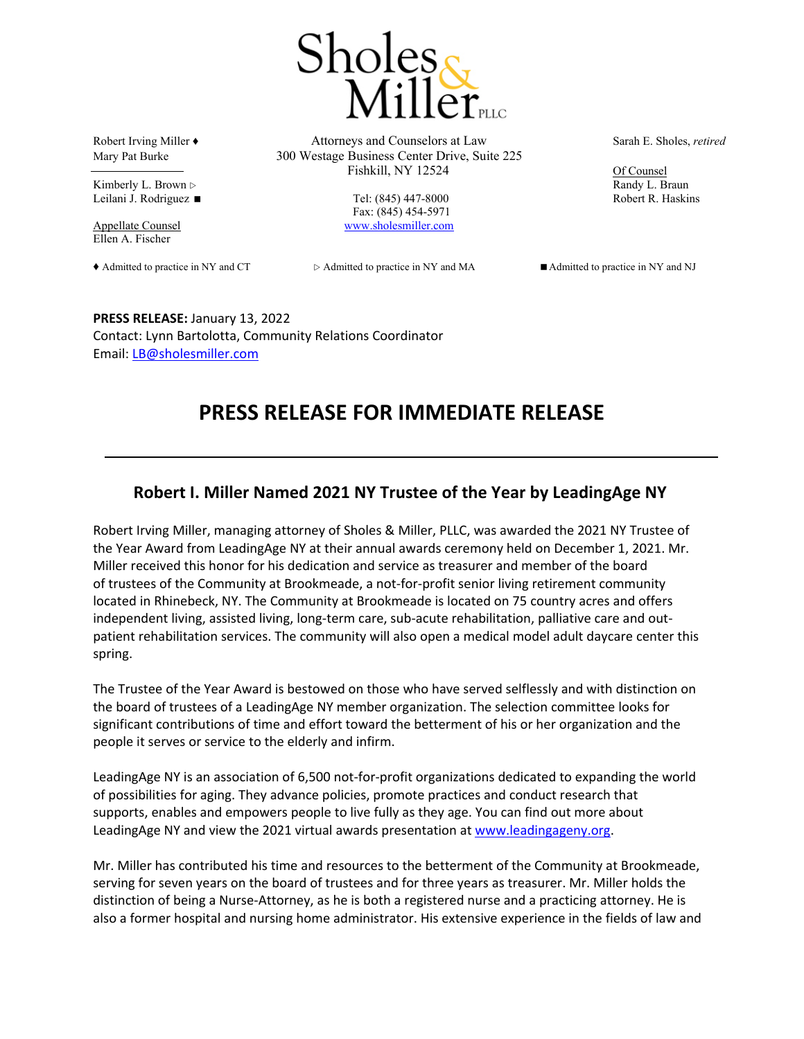

Kimberly L. Brown  $\triangleright$  Randy L. Braun Leilani J. Rodriguez ■ Tel: (845) 447-8000 Robert R. Haskins

Ellen A. Fischer

Robert Irving Miller ♦ Attorneys and Counselors at Law Sarah E. Sholes, *retired* Mary Pat Burke 300 Westage Business Center Drive, Suite 225 Fishkill, NY 12524 Of Counsel

Fax: (845) 454-5971 Appellate Counsel www.sholesmiller.com

◆ Admitted to practice in NY and CT  $\triangleright$  Admitted to practice in NY and MA <br>■ Admitted to practice in NY and NJ

**PRESS RELEASE:** January 13, 2022 Contact: Lynn Bartolotta, Community Relations Coordinator Email: LB@sholesmiller.com

## **PRESS RELEASE FOR IMMEDIATE RELEASE**

## **Robert I. Miller Named 2021 NY Trustee of the Year by LeadingAge NY**

Robert Irving Miller, managing attorney of Sholes & Miller, PLLC, was awarded the 2021 NY Trustee of the Year Award from LeadingAge NY at their annual awards ceremony held on December 1, 2021. Mr. Miller received this honor for his dedication and service as treasurer and member of the board of trustees of the Community at Brookmeade, a not-for-profit senior living retirement community located in Rhinebeck, NY. The Community at Brookmeade is located on 75 country acres and offers independent living, assisted living, long-term care, sub-acute rehabilitation, palliative care and outpatient rehabilitation services. The community will also open a medical model adult daycare center this spring.

The Trustee of the Year Award is bestowed on those who have served selflessly and with distinction on the board of trustees of a LeadingAge NY member organization. The selection committee looks for significant contributions of time and effort toward the betterment of his or her organization and the people it serves or service to the elderly and infirm.

LeadingAge NY is an association of 6,500 not-for-profit organizations dedicated to expanding the world of possibilities for aging. They advance policies, promote practices and conduct research that supports, enables and empowers people to live fully as they age. You can find out more about LeadingAge NY and view the 2021 virtual awards presentation at www.leadingageny.org.

Mr. Miller has contributed his time and resources to the betterment of the Community at Brookmeade, serving for seven years on the board of trustees and for three years as treasurer. Mr. Miller holds the distinction of being a Nurse‐Attorney, as he is both a registered nurse and a practicing attorney. He is also a former hospital and nursing home administrator. His extensive experience in the fields of law and